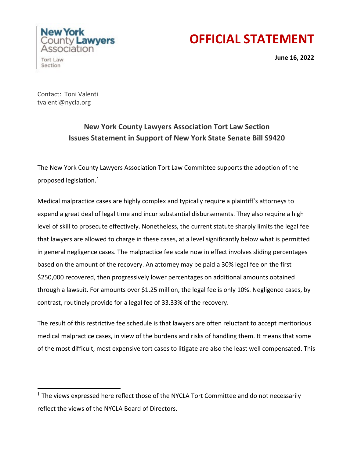## **OFFICIAL STATEMENT**

Association Tort Law Section

New York

County **Lawyers** 

**June 16, 2022** 

Contact: Toni Valenti tvalenti@nycla.org

## **New York County Lawyers Association Tort Law Section Issues Statement in Support of New York State Senate Bill S9420**

The New York County Lawyers Association Tort Law Committee supports the adoption of the proposed legislation.[1](#page-0-0)

Medical malpractice cases are highly complex and typically require a plaintiff's attorneys to expend a great deal of legal time and incur substantial disbursements. They also require a high level of skill to prosecute effectively. Nonetheless, the current statute sharply limits the legal fee that lawyers are allowed to charge in these cases, at a level significantly below what is permitted in general negligence cases. The malpractice fee scale now in effect involves sliding percentages based on the amount of the recovery. An attorney may be paid a 30% legal fee on the first \$250,000 recovered, then progressively lower percentages on additional amounts obtained through a lawsuit. For amounts over \$1.25 million, the legal fee is only 10%. Negligence cases, by contrast, routinely provide for a legal fee of 33.33% of the recovery.

The result of this restrictive fee schedule is that lawyers are often reluctant to accept meritorious medical malpractice cases, in view of the burdens and risks of handling them. It means that some of the most difficult, most expensive tort cases to litigate are also the least well compensated. This

<span id="page-0-0"></span> $1$  The views expressed here reflect those of the NYCLA Tort Committee and do not necessarily reflect the views of the NYCLA Board of Directors.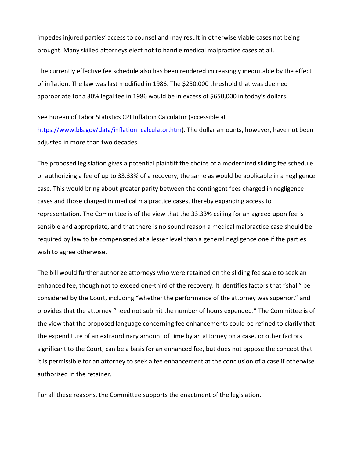impedes injured parties' access to counsel and may result in otherwise viable cases not being brought. Many skilled attorneys elect not to handle medical malpractice cases at all.

The currently effective fee schedule also has been rendered increasingly inequitable by the effect of inflation. The law was last modified in 1986. The \$250,000 threshold that was deemed appropriate for a 30% legal fee in 1986 would be in excess of \$650,000 in today's dollars.

See Bureau of Labor Statistics CPI Inflation Calculator (accessible at [https://www.bls.gov/data/inflation\\_calculator.htm\)](https://www.bls.gov/data/inflation_calculator.htm). The dollar amounts, however, have not been adjusted in more than two decades.

The proposed legislation gives a potential plaintiff the choice of a modernized sliding fee schedule or authorizing a fee of up to 33.33% of a recovery, the same as would be applicable in a negligence case. This would bring about greater parity between the contingent fees charged in negligence cases and those charged in medical malpractice cases, thereby expanding access to representation. The Committee is of the view that the 33.33% ceiling for an agreed upon fee is sensible and appropriate, and that there is no sound reason a medical malpractice case should be required by law to be compensated at a lesser level than a general negligence one if the parties wish to agree otherwise.

The bill would further authorize attorneys who were retained on the sliding fee scale to seek an enhanced fee, though not to exceed one-third of the recovery. It identifies factors that "shall" be considered by the Court, including "whether the performance of the attorney was superior," and provides that the attorney "need not submit the number of hours expended." The Committee is of the view that the proposed language concerning fee enhancements could be refined to clarify that the expenditure of an extraordinary amount of time by an attorney on a case, or other factors significant to the Court, can be a basis for an enhanced fee, but does not oppose the concept that it is permissible for an attorney to seek a fee enhancement at the conclusion of a case if otherwise authorized in the retainer.

For all these reasons, the Committee supports the enactment of the legislation.